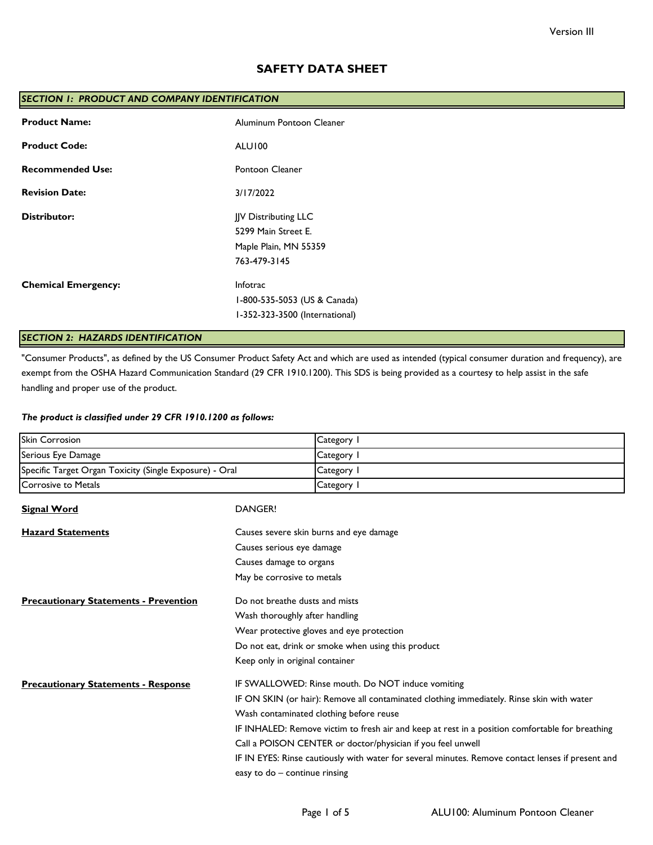## **SAFETY DATA SHEET**

| <b>SECTION 1: PRODUCT AND COMPANY IDENTIFICATION</b> |                                |  |
|------------------------------------------------------|--------------------------------|--|
| <b>Product Name:</b>                                 | Aluminum Pontoon Cleaner       |  |
| <b>Product Code:</b>                                 | ALUI00                         |  |
| <b>Recommended Use:</b>                              | Pontoon Cleaner                |  |
| <b>Revision Date:</b>                                | 3/17/2022                      |  |
| <b>Distributor:</b>                                  | JJV Distributing LLC           |  |
|                                                      | 5299 Main Street E.            |  |
|                                                      | Maple Plain, MN 55359          |  |
|                                                      | 763-479-3145                   |  |
| <b>Chemical Emergency:</b>                           | Infotrac                       |  |
|                                                      | I-800-535-5053 (US & Canada)   |  |
|                                                      | I-352-323-3500 (International) |  |
|                                                      |                                |  |

# *SECTION 2: HAZARDS IDENTIFICATION*

"Consumer Products", as defined by the US Consumer Product Safety Act and which are used as intended (typical consumer duration and frequency), are exempt from the OSHA Hazard Communication Standard (29 CFR 1910.1200). This SDS is being provided as a courtesy to help assist in the safe handling and proper use of the product.

### *The product is classified under 29 CFR 1910.1200 as follows:*

| <b>Skin Corrosion</b>                                   |                                                                                                 | Category I                                                                                        |  |
|---------------------------------------------------------|-------------------------------------------------------------------------------------------------|---------------------------------------------------------------------------------------------------|--|
| Serious Eye Damage                                      |                                                                                                 | Category 1                                                                                        |  |
| Specific Target Organ Toxicity (Single Exposure) - Oral |                                                                                                 | Category I                                                                                        |  |
| <b>Corrosive to Metals</b>                              |                                                                                                 | Category I                                                                                        |  |
| <b>Signal Word</b>                                      | <b>DANGER!</b>                                                                                  |                                                                                                   |  |
| <b>Hazard Statements</b>                                |                                                                                                 | Causes severe skin burns and eye damage                                                           |  |
|                                                         | Causes serious eye damage                                                                       |                                                                                                   |  |
|                                                         | Causes damage to organs                                                                         |                                                                                                   |  |
|                                                         | May be corrosive to metals                                                                      |                                                                                                   |  |
| <b>Precautionary Statements - Prevention</b>            | Do not breathe dusts and mists                                                                  |                                                                                                   |  |
|                                                         |                                                                                                 | Wash thoroughly after handling                                                                    |  |
|                                                         |                                                                                                 | Wear protective gloves and eye protection                                                         |  |
|                                                         |                                                                                                 | Do not eat, drink or smoke when using this product                                                |  |
|                                                         | Keep only in original container                                                                 |                                                                                                   |  |
| <b>Precautionary Statements - Response</b>              |                                                                                                 | IF SWALLOWED: Rinse mouth. Do NOT induce vomiting                                                 |  |
|                                                         | IF ON SKIN (or hair): Remove all contaminated clothing immediately. Rinse skin with water       |                                                                                                   |  |
|                                                         | Wash contaminated clothing before reuse                                                         |                                                                                                   |  |
|                                                         | IF INHALED: Remove victim to fresh air and keep at rest in a position comfortable for breathing |                                                                                                   |  |
|                                                         | Call a POISON CENTER or doctor/physician if you feel unwell                                     |                                                                                                   |  |
|                                                         |                                                                                                 | IF IN EYES: Rinse cautiously with water for several minutes. Remove contact lenses if present and |  |
|                                                         | easy to do - continue rinsing                                                                   |                                                                                                   |  |
|                                                         |                                                                                                 |                                                                                                   |  |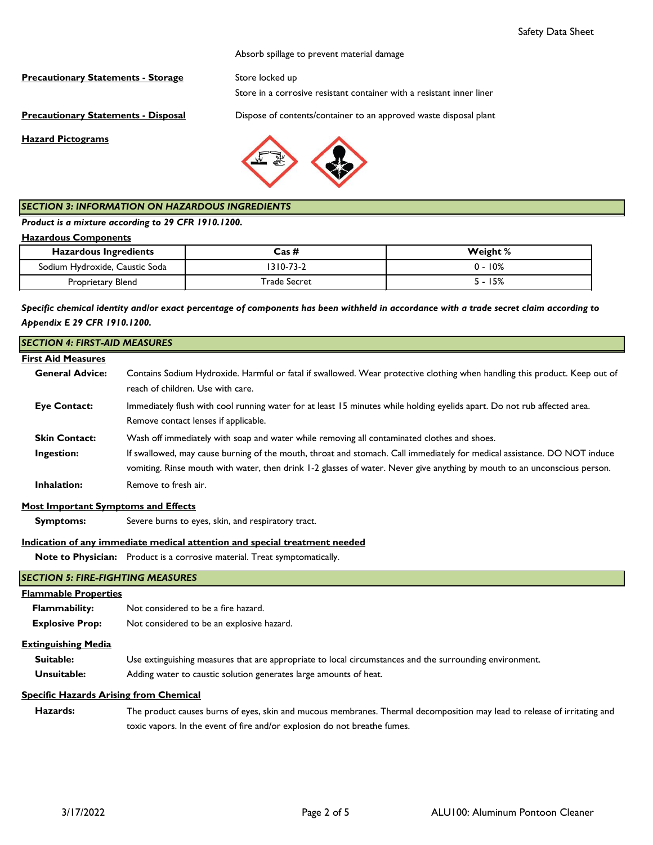Absorb spillage to prevent material damage

**Precautionary Statements - Storage** Store locked up

Store in a corrosive resistant container with a resistant inner liner

**Precautionary Statements - Disposal** Dispose of contents/container to an approved waste disposal plant

**Hazard Pictograms**



### *SECTION 3: INFORMATION ON HAZARDOUS INGREDIENTS*

*Product is a mixture according to 29 CFR 1910.1200.*

#### **Hazardous Components**

| <b>Hazardous Ingredients</b>   | Cas #          | Weight % |
|--------------------------------|----------------|----------|
| Sodium Hydroxide, Caustic Soda | $310 - 73 - 2$ | 0 - 10%  |
| Proprietary Blend              | Trade Secret   | 15%      |

*Specific chemical identity and/or exact percentage of components has been withheld in accordance with a trade secret claim according to Appendix E 29 CFR 1910.1200.*

| <b>SECTION 4: FIRST-AID MEASURES</b>          |                                                                                                                                                                                                                                                       |
|-----------------------------------------------|-------------------------------------------------------------------------------------------------------------------------------------------------------------------------------------------------------------------------------------------------------|
| <b>First Aid Measures</b>                     |                                                                                                                                                                                                                                                       |
| <b>General Advice:</b>                        | Contains Sodium Hydroxide. Harmful or fatal if swallowed. Wear protective clothing when handling this product. Keep out of<br>reach of children. Use with care.                                                                                       |
| <b>Eye Contact:</b>                           | Immediately flush with cool running water for at least 15 minutes while holding eyelids apart. Do not rub affected area.<br>Remove contact lenses if applicable.                                                                                      |
| <b>Skin Contact:</b>                          | Wash off immediately with soap and water while removing all contaminated clothes and shoes.                                                                                                                                                           |
| Ingestion:                                    | If swallowed, may cause burning of the mouth, throat and stomach. Call immediately for medical assistance. DO NOT induce<br>vomiting. Rinse mouth with water, then drink 1-2 glasses of water. Never give anything by mouth to an unconscious person. |
| Inhalation:                                   | Remove to fresh air.                                                                                                                                                                                                                                  |
| <b>Most Important Symptoms and Effects</b>    |                                                                                                                                                                                                                                                       |
| <b>Symptoms:</b>                              | Severe burns to eyes, skin, and respiratory tract.                                                                                                                                                                                                    |
|                                               | Indication of any immediate medical attention and special treatment needed                                                                                                                                                                            |
|                                               | Note to Physician: Product is a corrosive material. Treat symptomatically.                                                                                                                                                                            |
| <b>SECTION 5: FIRE-FIGHTING MEASURES</b>      |                                                                                                                                                                                                                                                       |
| <b>Flammable Properties</b>                   |                                                                                                                                                                                                                                                       |
| <b>Flammability:</b>                          | Not considered to be a fire hazard.                                                                                                                                                                                                                   |
| <b>Explosive Prop:</b>                        | Not considered to be an explosive hazard.                                                                                                                                                                                                             |
| <b>Extinguishing Media</b>                    |                                                                                                                                                                                                                                                       |
| Suitable:                                     | Use extinguishing measures that are appropriate to local circumstances and the surrounding environment.                                                                                                                                               |
| Unsuitable:                                   | Adding water to caustic solution generates large amounts of heat.                                                                                                                                                                                     |
| <b>Specific Hazards Arising from Chemical</b> |                                                                                                                                                                                                                                                       |

 **Hazards:** The product causes burns of eyes, skin and mucous membranes. Thermal decomposition may lead to release of irritating and toxic vapors. In the event of fire and/or explosion do not breathe fumes.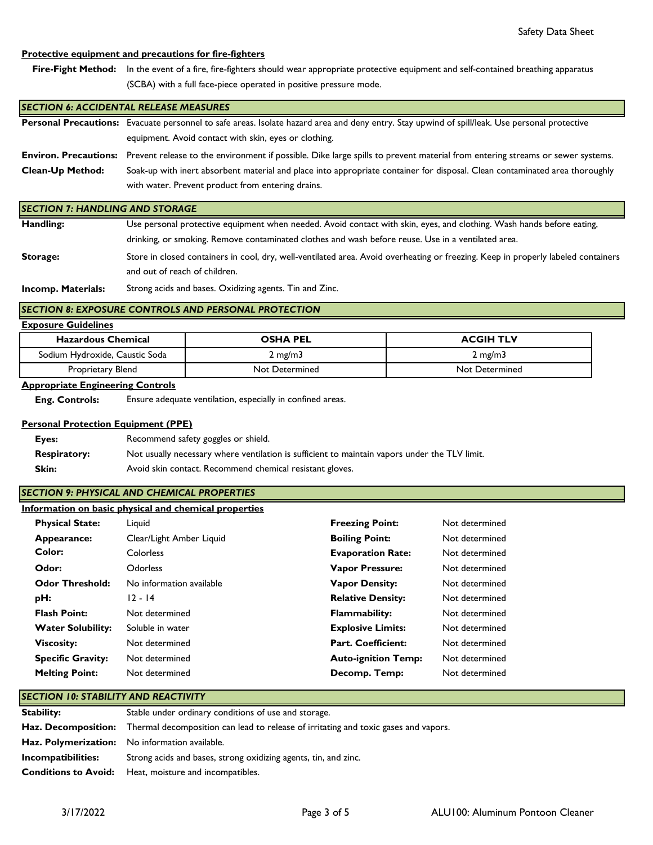### **Protective equipment and precautions for fire-fighters**

Fire-Fight Method: In the event of a fire, fire-fighters should wear appropriate protective equipment and self-contained breathing apparatus (SCBA) with a full face-piece operated in positive pressure mode.

#### *SECTION 6: ACCIDENTAL RELEASE MEASURES*

|                         | Personal Precautions: Evacuate personnel to safe areas. Isolate hazard area and deny entry. Stay upwind of spill/leak. Use personal protective      |  |
|-------------------------|-----------------------------------------------------------------------------------------------------------------------------------------------------|--|
|                         | equipment. Avoid contact with skin, eyes or clothing.                                                                                               |  |
|                         | Environ. Precautions: Prevent release to the environment if possible. Dike large spills to prevent material from entering streams or sewer systems. |  |
| <b>Clean-Up Method:</b> | Soak-up with inert absorbent material and place into appropriate container for disposal. Clean contaminated area thoroughly                         |  |
|                         | with water. Prevent product from entering drains.                                                                                                   |  |

#### *SECTION 7: HANDLING AND STORAGE*

| Handling: | Use personal protective equipment when needed. Avoid contact with skin, eyes, and clothing. Wash hands before eating,             |  |  |
|-----------|-----------------------------------------------------------------------------------------------------------------------------------|--|--|
|           | drinking, or smoking. Remove contaminated clothes and wash before reuse. Use in a ventilated area.                                |  |  |
| Storage:  | Store in closed containers in cool, dry, well-ventilated area. Avoid overheating or freezing. Keep in properly labeled containers |  |  |
|           | and out of reach of children.                                                                                                     |  |  |

**Incomp. Materials:** Strong acids and bases. Oxidizing agents. Tin and Zinc.

### **SECTION 8: EXPOSURE CONTROLS AND PERSONAL PROTECTION**

### **Exposure Guidelines**

| <b>Hazardous Chemical</b>      | <b>OSHA PEL</b>  | <b>ACGIH TLV</b> |
|--------------------------------|------------------|------------------|
| Sodium Hydroxide, Caustic Soda | $2 \text{ mg/m}$ | $2 \text{ mg/m}$ |
| Proprietary Blend              | Not Determined   | Not Determined   |

#### **Appropriate Engineering Controls**

 **Eng. Controls:** Ensure adequate ventilation, especially in confined areas.

#### **Personal Protection Equipment (PPE)**

| Eyes:               | Recommend safety goggles or shield.                                                           |
|---------------------|-----------------------------------------------------------------------------------------------|
| <b>Respiratory:</b> | Not usually necessary where ventilation is sufficient to maintain vapors under the TLV limit. |
| <b>Skin:</b>        | Avoid skin contact. Recommend chemical resistant gloves.                                      |

### *SECTION 9: PHYSICAL AND CHEMICAL PROPERTIES*

|  | Information on basic physical and chemical properties |
|--|-------------------------------------------------------|
|  |                                                       |

| <b>Physical State:</b>   | Liguid                   | <b>Freezing Point:</b>     | Not determined |
|--------------------------|--------------------------|----------------------------|----------------|
| Appearance:              | Clear/Light Amber Liquid | <b>Boiling Point:</b>      | Not determined |
| Color:                   | Colorless                | <b>Evaporation Rate:</b>   | Not determined |
| Odor:                    | Odorless                 | <b>Vapor Pressure:</b>     | Not determined |
| <b>Odor Threshold:</b>   | No information available | <b>Vapor Density:</b>      | Not determined |
| pH:                      | $12 - 14$                | <b>Relative Density:</b>   | Not determined |
| <b>Flash Point:</b>      | Not determined           | <b>Flammability:</b>       | Not determined |
| <b>Water Solubility:</b> | Soluble in water         | <b>Explosive Limits:</b>   | Not determined |
| <b>Viscosity:</b>        | Not determined           | Part. Coefficient:         | Not determined |
| <b>Specific Gravity:</b> | Not determined           | <b>Auto-ignition Temp:</b> | Not determined |
| <b>Melting Point:</b>    | Not determined           | Decomp. Temp:              | Not determined |

### *SECTION 10: STABILITY AND REACTIVITY*

| Stability:                  | Stable under ordinary conditions of use and storage.                                                           |
|-----------------------------|----------------------------------------------------------------------------------------------------------------|
|                             | <b>Haz. Decomposition:</b> Thermal decomposition can lead to release of irritating and toxic gases and vapors. |
|                             | <b>Haz. Polymerization:</b> No information available.                                                          |
| Incompatibilities:          | Strong acids and bases, strong oxidizing agents, tin, and zinc.                                                |
| <b>Conditions to Avoid:</b> | Heat, moisture and incompatibles.                                                                              |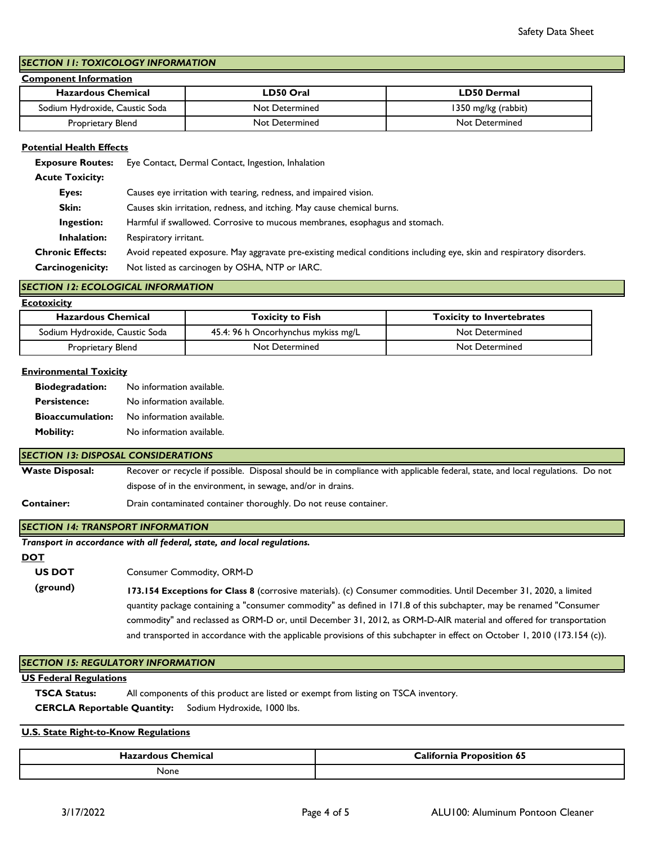## *SECTION 11: TOXICOLOGY INFORMATION*

### **Component Information**

| <b>Hazardous Chemical</b>      | LD50 Oral      | LD50 Dermal           |
|--------------------------------|----------------|-----------------------|
| Sodium Hydroxide, Caustic Soda | Not Determined | 1350 mg/kg (rabbit)   |
| Proprietary Blend              | Not Determined | <b>Not Determined</b> |

### **Potential Health Effects**

 **Exposure Routes:** Eye Contact, Dermal Contact, Ingestion, Inhalation

 **Acute Toxicity:**

| Eyes:                   | Causes eye irritation with tearing, redness, and impaired vision.                                                     |
|-------------------------|-----------------------------------------------------------------------------------------------------------------------|
| Skin:                   | Causes skin irritation, redness, and itching. May cause chemical burns.                                               |
| Ingestion:              | Harmful if swallowed. Corrosive to mucous membranes, esophagus and stomach.                                           |
| Inhalation:             | Respiratory irritant.                                                                                                 |
| <b>Chronic Effects:</b> | Avoid repeated exposure. May aggravate pre-existing medical conditions including eye, skin and respiratory disorders. |
| Carcinogenicity:        | Not listed as carcinogen by OSHA, NTP or IARC.                                                                        |

#### *SECTION 12: ECOLOGICAL INFORMATION*

| <b>Ecotoxicity</b>             |                                     |                                  |  |  |
|--------------------------------|-------------------------------------|----------------------------------|--|--|
| <b>Hazardous Chemical</b>      | <b>Toxicity to Fish</b>             | <b>Toxicity to Invertebrates</b> |  |  |
| Sodium Hydroxide, Caustic Soda | 45.4: 96 h Oncorhynchus mykiss mg/L | Not Determined                   |  |  |
| Proprietary Blend              | Not Determined                      | Not Determined                   |  |  |

#### **Environmental Toxicity**

| <b>Biodegradation:</b>  | No information available. |
|-------------------------|---------------------------|
| <b>Persistence:</b>     | No information available. |
| <b>Bioaccumulation:</b> | No information available. |
| <b>Mobility:</b>        | No information available. |

#### *SECTION 13: DISPOSAL CONSIDERATIONS*

**Waste Disposal:** Recover or recycle if possible. Disposal should be in compliance with applicable federal, state, and local regulations. Do not dispose of in the environment, in sewage, and/or in drains.

**Container:** Drain contaminated container thoroughly. Do not reuse container.

### *SECTION 14: TRANSPORT INFORMATION*

|  | Transport in accordance with all federal, state, and local regulations. |
|--|-------------------------------------------------------------------------|
|--|-------------------------------------------------------------------------|

**DOT**

Consumer Commodity, ORM-D  **US DOT** 

 **(ground) 173.154 Exceptions for Class 8** (corrosive materials). (c) Consumer commodities. Until December 31, 2020, a limited quantity package containing a "consumer commodity" as defined in 171.8 of this subchapter, may be renamed "Consumer commodity" and reclassed as ORM-D or, until December 31, 2012, as ORM-D-AIR material and offered for transportation and transported in accordance with the applicable provisions of this subchapter in effect on October 1, 2010 (173.154 (c)).

### *SECTION 15: REGULATORY INFORMATION*

#### **US Federal Regulations**

 **TSCA Status:** All components of this product are listed or exempt from listing on TSCA inventory.

 **CERCLA Reportable Quantity:** Sodium Hydroxide, 1000 lbs.

#### **U.S. State Right-to-Know Regulations**

| Chemical<br>10111 | <b>Lalifornia</b><br>∹ı∩n<br>65<br>. <del>.</del> |
|-------------------|---------------------------------------------------|
| None              |                                                   |